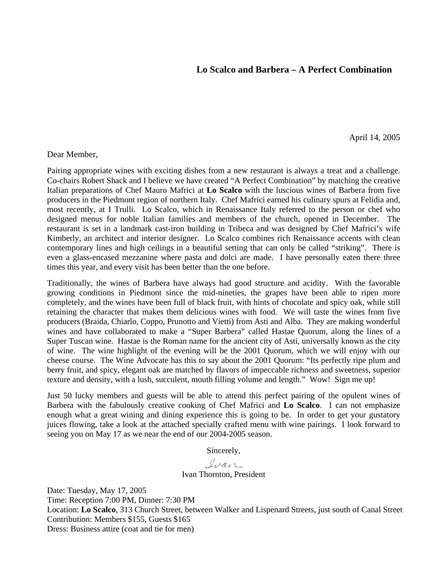### **Lo Scalco and Barbera – A Perfect Combination**

April 14, 2005

#### Dear Member,

Pairing appropriate wines with exciting dishes from a new restaurant is always a treat and a challenge. Co-chairs Robert Shack and I believe we have created "A Perfect Combination" by matching the creative Italian preparations of Chef Mauro Mafrici at **Lo Scalco** with the luscious wines of Barbera from five producers in the Piedmont region of northern Italy. Chef Mafrici earned his culinary spurs at Felidia and, most recently, at I Trulli. Lo Scalco, which in Renaissance Italy referred to the person or chef who designed menus for noble Italian families and members of the church, opened in December. The restaurant is set in a landmark cast-iron building in Tribeca and was designed by Chef Mafrici's wife Kimberly, an architect and interior designer. Lo Scalco combines rich Renaissance accents with clean contemporary lines and high ceilings in a beautiful setting that can only be called "striking". There is even a glass-encased mezzanine where pasta and dolci are made. I have personally eaten there three times this year, and every visit has been better than the one before.

Traditionally, the wines of Barbera have always had good structure and acidity. With the favorable growing conditions in Piedmont since the mid-nineties, the grapes have been able to ripen more completely, and the wines have been full of black fruit, with hints of chocolate and spicy oak, while still retaining the character that makes them delicious wines with food. We will taste the wines from five producers (Braida, Chiarlo, Coppo, Prunotto and Vietti) from Asti and Alba. They are making wonderful wines and have collaborated to make a "Super Barbera" called Hastae Quorum, along the lines of a Super Tuscan wine. Hastae is the Roman name for the ancient city of Asti, universally known as the city of wine. The wine highlight of the evening will be the 2001 Quorum, which we will enjoy with our cheese course. The Wine Advocate has this to say about the 2001 Quorum: "Its perfectly ripe plum and berry fruit, and spicy, elegant oak are matched by flavors of impeccable richness and sweetness, superior texture and density, with a lush, succulent, mouth filling volume and length." Wow! Sign me up!

Just 50 lucky members and guests will be able to attend this perfect pairing of the opulent wines of Barbera with the fabulously creative cooking of Chef Mafrici and **Lo Scalco**. I can not emphasize enough what a great wining and dining experience this is going to be. In order to get your gustatory juices flowing, take a look at the attached specially crafted menu with wine pairings. I look forward to seeing you on May 17 as we near the end of our 2004-2005 season.

Sincerely,

Ivan

#### Ivan Thornton, President

Date: Tuesday, May 17, 2005 Time: Reception 7:00 PM, Dinner: 7:30 PM Location: **Lo Scalco**, 313 Church Street, between Walker and Lispenard Streets, just south of Canal Street Contribution: Members \$155, Guests \$165 Dress: Business attire (coat and tie for men)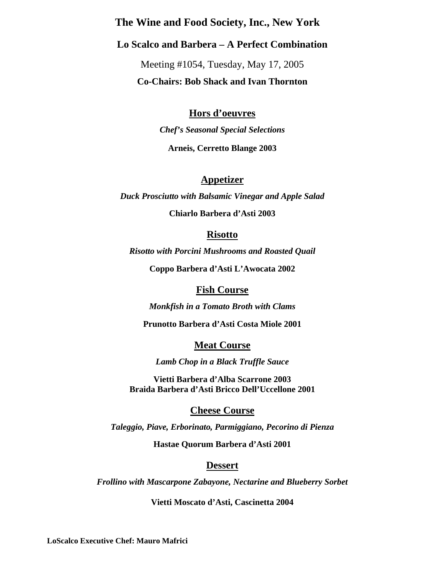# **The Wine and Food Society, Inc., New York**

# **Lo Scalco and Barbera – A Perfect Combination**

Meeting #1054, Tuesday, May 17, 2005 **Co-Chairs: Bob Shack and Ivan Thornton** 

# **Hors d'oeuvres**

*Chef's Seasonal Special Selections*  **Arneis, Cerretto Blange 2003** 

## **Appetizer**

*Duck Prosciutto with Balsamic Vinegar and Apple Salad* 

**Chiarlo Barbera d'Asti 2003** 

### **Risotto**

*Risotto with Porcini Mushrooms and Roasted Quail* 

**Coppo Barbera d'Asti L'Awocata 2002** 

### **Fish Course**

*Monkfish in a Tomato Broth with Clams* 

**Prunotto Barbera d'Asti Costa Miole 2001** 

### **Meat Course**

*Lamb Chop in a Black Truffle Sauce* 

**Vietti Barbera d'Alba Scarrone 2003 Braida Barbera d'Asti Bricco Dell'Uccellone 2001** 

### **Cheese Course**

*Taleggio, Piave, Erborinato, Parmiggiano, Pecorino di Pienza* 

**Hastae Quorum Barbera d'Asti 2001** 

### **Dessert**

*Frollino with Mascarpone Zabayone, Nectarine and Blueberry Sorbet* 

**Vietti Moscato d'Asti, Cascinetta 2004** 

**LoScalco Executive Chef: Mauro Mafrici**